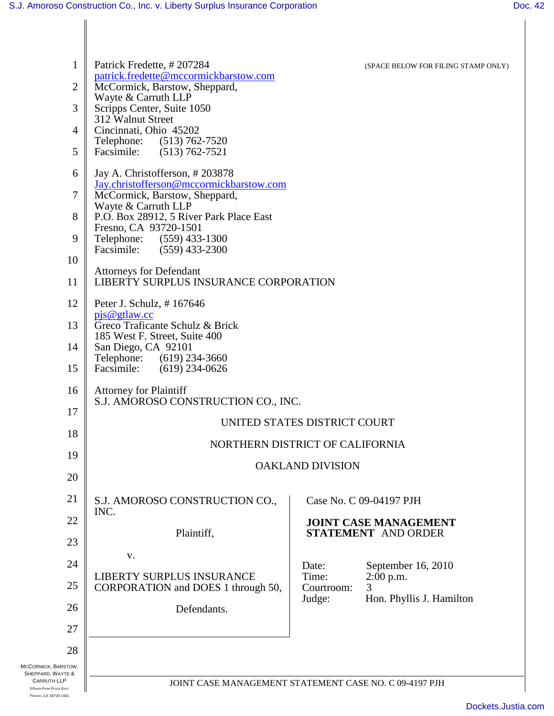| $\mathbf{1}$                                                           | Patrick Fredette, #207284                                                | (SPACE BELOW FOR FILING STAMP ONLY)                    |
|------------------------------------------------------------------------|--------------------------------------------------------------------------|--------------------------------------------------------|
| $\overline{2}$                                                         | patrick.fredette@mccormickbarstow.com<br>McCormick, Barstow, Sheppard,   |                                                        |
| 3                                                                      | Wayte & Carruth LLP<br>Scripps Center, Suite 1050                        |                                                        |
| $\overline{4}$                                                         | 312 Walnut Street<br>Cincinnati, Ohio 45202                              |                                                        |
| 5                                                                      | Telephone: (513) 762-7520<br>Facsimile:<br>$(513) 762 - 7521$            |                                                        |
| 6                                                                      | Jay A. Christofferson, #203878                                           |                                                        |
| 7                                                                      | Jay.christofferson@mccormickbarstow.com<br>McCormick, Barstow, Sheppard, |                                                        |
| 8                                                                      | Wayte & Carruth LLP<br>P.O. Box 28912, 5 River Park Place East           |                                                        |
| 9                                                                      | Fresno, CA 93720-1501<br>Telephone: (559) 433-1300                       |                                                        |
| 10                                                                     | Facsimile:<br>$(559)$ 433-2300                                           |                                                        |
| 11                                                                     | <b>Attorneys for Defendant</b><br>LIBERTY SURPLUS INSURANCE CORPORATION  |                                                        |
| 12                                                                     | Peter J. Schulz, #167646                                                 |                                                        |
| 13                                                                     | pjs@gtlaw.cc<br>Greco Traficante Schulz & Brick                          |                                                        |
| 14                                                                     | 185 West F. Street, Suite 400<br>San Diego, CA 92101                     |                                                        |
| 15                                                                     | Telephone:<br>$(619)$ 234-3660<br>Facsimile:<br>$(619)$ 234-0626         |                                                        |
| 16                                                                     | <b>Attorney for Plaintiff</b><br>S.J. AMOROSO CONSTRUCTION CO., INC.     |                                                        |
| 17                                                                     |                                                                          | UNITED STATES DISTRICT COURT                           |
| 18                                                                     |                                                                          |                                                        |
| 19                                                                     |                                                                          | NORTHERN DISTRICT OF CALIFORNIA                        |
| 20                                                                     |                                                                          | <b>OAKLAND DIVISION</b>                                |
| 21                                                                     | S.J. AMOROSO CONSTRUCTION CO.,                                           | Case No. C 09-04197 PJH                                |
| 22                                                                     | INC.                                                                     | <b>JOINT CASE MANAGEMENT</b>                           |
| 23                                                                     | Plaintiff,                                                               | <b>STATEMENT AND ORDER</b>                             |
| 24                                                                     | V.                                                                       | Date:<br>September 16, 2010                            |
| 25                                                                     | LIBERTY SURPLUS INSURANCE<br>CORPORATION and DOES 1 through 50,          | Time:<br>2:00 p.m.<br>Courtroom:<br>3                  |
| 26                                                                     | Defendants.                                                              | Hon. Phyllis J. Hamilton<br>Judge:                     |
| 27                                                                     |                                                                          |                                                        |
| 28                                                                     |                                                                          |                                                        |
| MCCORMICK, BARSTOW,<br>SHEPPARD, WAYTE &                               |                                                                          |                                                        |
| <b>CARRUTH LLP</b><br>5 RIVER PARK PLACE EAST<br>FRESNO, CA 93720-1501 |                                                                          | JOINT CASE MANAGEMENT STATEMENT CASE NO. C 09-4197 PJH |